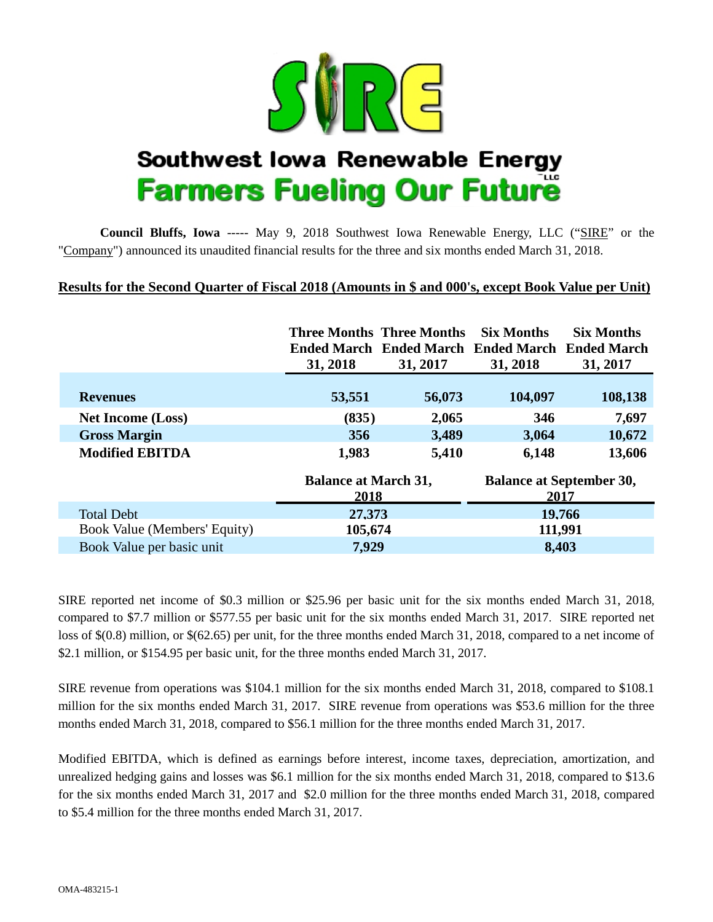

# Southwest lowa Renewable Energy **Farmers Fueling Our Future**

**Council Bluffs, Iowa** ----- May 9, 2018 Southwest Iowa Renewable Energy, LLC ("SIRE" or the "Company") announced its unaudited financial results for the three and six months ended March 31, 2018.

## **Results for the Second Quarter of Fiscal 2018 (Amounts in \$ and 000's, except Book Value per Unit)**

|                              | 31, 2018                            | Three Months Three Months<br>Ended March Ended March Ended March Ended March<br>31, 2017 | <b>Six Months</b><br>31, 2018           | <b>Six Months</b><br>31, 2017 |  |  |
|------------------------------|-------------------------------------|------------------------------------------------------------------------------------------|-----------------------------------------|-------------------------------|--|--|
| <b>Revenues</b>              | 53,551                              | 56,073                                                                                   | 104,097                                 | 108,138                       |  |  |
| <b>Net Income (Loss)</b>     | (835)                               | 2,065                                                                                    | 346                                     | 7,697                         |  |  |
| <b>Gross Margin</b>          | 356                                 | 3,489                                                                                    | 3,064                                   | 10,672                        |  |  |
| <b>Modified EBITDA</b>       | 1,983                               | 5,410                                                                                    | 6,148                                   | 13,606                        |  |  |
|                              | <b>Balance at March 31,</b><br>2018 |                                                                                          | <b>Balance at September 30,</b><br>2017 |                               |  |  |
| <b>Total Debt</b>            | 27.373                              |                                                                                          | 19.766                                  |                               |  |  |
| Book Value (Members' Equity) | 105,674                             |                                                                                          | 111,991                                 |                               |  |  |
| Book Value per basic unit    | 7,929                               |                                                                                          | 8,403                                   |                               |  |  |

SIRE reported net income of \$0.3 million or \$25.96 per basic unit for the six months ended March 31, 2018, compared to \$7.7 million or \$577.55 per basic unit for the six months ended March 31, 2017. SIRE reported net loss of \$(0.8) million, or \$(62.65) per unit, for the three months ended March 31, 2018, compared to a net income of \$2.1 million, or \$154.95 per basic unit, for the three months ended March 31, 2017.

SIRE revenue from operations was \$104.1 million for the six months ended March 31, 2018, compared to \$108.1 million for the six months ended March 31, 2017. SIRE revenue from operations was \$53.6 million for the three months ended March 31, 2018, compared to \$56.1 million for the three months ended March 31, 2017.

Modified EBITDA, which is defined as earnings before interest, income taxes, depreciation, amortization, and unrealized hedging gains and losses was \$6.1 million for the six months ended March 31, 2018, compared to \$13.6 for the six months ended March 31, 2017 and \$2.0 million for the three months ended March 31, 2018, compared to \$5.4 million for the three months ended March 31, 2017.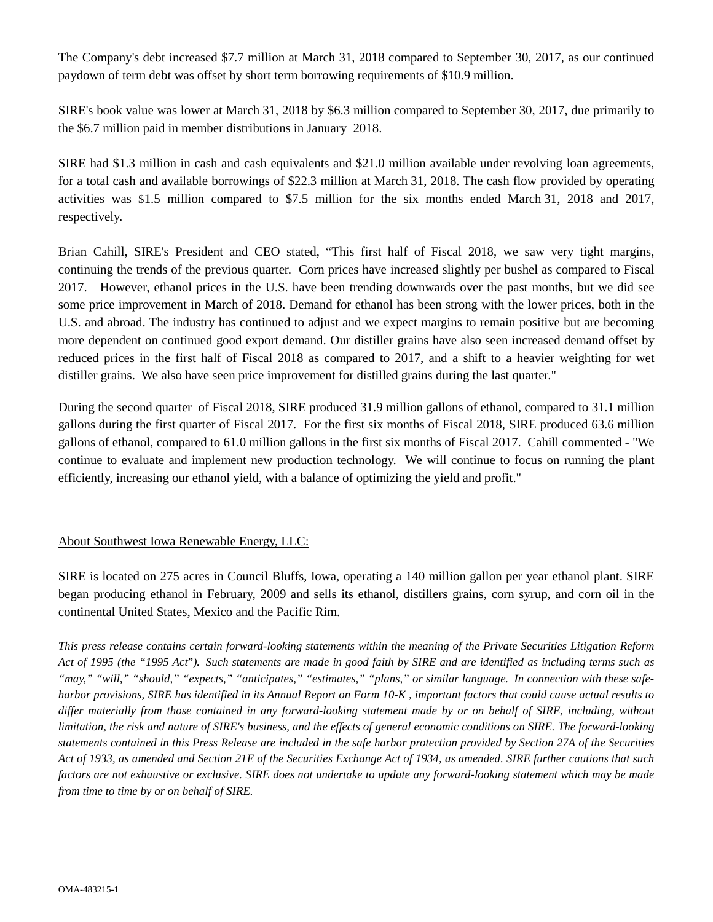The Company's debt increased \$7.7 million at March 31, 2018 compared to September 30, 2017, as our continued paydown of term debt was offset by short term borrowing requirements of \$10.9 million.

SIRE's book value was lower at March 31, 2018 by \$6.3 million compared to September 30, 2017, due primarily to the \$6.7 million paid in member distributions in January 2018.

SIRE had \$1.3 million in cash and cash equivalents and \$21.0 million available under revolving loan agreements, for a total cash and available borrowings of \$22.3 million at March 31, 2018. The cash flow provided by operating activities was \$1.5 million compared to \$7.5 million for the six months ended March 31, 2018 and 2017, respectively.

Brian Cahill, SIRE's President and CEO stated, "This first half of Fiscal 2018, we saw very tight margins, continuing the trends of the previous quarter. Corn prices have increased slightly per bushel as compared to Fiscal 2017. However, ethanol prices in the U.S. have been trending downwards over the past months, but we did see some price improvement in March of 2018. Demand for ethanol has been strong with the lower prices, both in the U.S. and abroad. The industry has continued to adjust and we expect margins to remain positive but are becoming more dependent on continued good export demand. Our distiller grains have also seen increased demand offset by reduced prices in the first half of Fiscal 2018 as compared to 2017, and a shift to a heavier weighting for wet distiller grains. We also have seen price improvement for distilled grains during the last quarter."

During the second quarter of Fiscal 2018, SIRE produced 31.9 million gallons of ethanol, compared to 31.1 million gallons during the first quarter of Fiscal 2017. For the first six months of Fiscal 2018, SIRE produced 63.6 million gallons of ethanol, compared to 61.0 million gallons in the first six months of Fiscal 2017. Cahill commented - "We continue to evaluate and implement new production technology. We will continue to focus on running the plant efficiently, increasing our ethanol yield, with a balance of optimizing the yield and profit."

### About Southwest Iowa Renewable Energy, LLC:

SIRE is located on 275 acres in Council Bluffs, Iowa, operating a 140 million gallon per year ethanol plant. SIRE began producing ethanol in February, 2009 and sells its ethanol, distillers grains, corn syrup, and corn oil in the continental United States, Mexico and the Pacific Rim.

*This press release contains certain forward-looking statements within the meaning of the Private Securities Litigation Reform Act of 1995 (the "1995 Act*"*). Such statements are made in good faith by SIRE and are identified as including terms such as*  "may," "will," "should," "expects," "anticipates," "estimates," "plans," or similar language. In connection with these safe*harbor provisions, SIRE has identified in its Annual Report on Form 10-K , important factors that could cause actual results to differ materially from those contained in any forward-looking statement made by or on behalf of SIRE, including, without limitation, the risk and nature of SIRE's business, and the effects of general economic conditions on SIRE. The forward-looking statements contained in this Press Release are included in the safe harbor protection provided by Section 27A of the Securities Act of 1933, as amended and Section 21E of the Securities Exchange Act of 1934, as amended. SIRE further cautions that such*  factors are not exhaustive or exclusive. SIRE does not undertake to update any forward-looking statement which may be made *from time to time by or on behalf of SIRE.*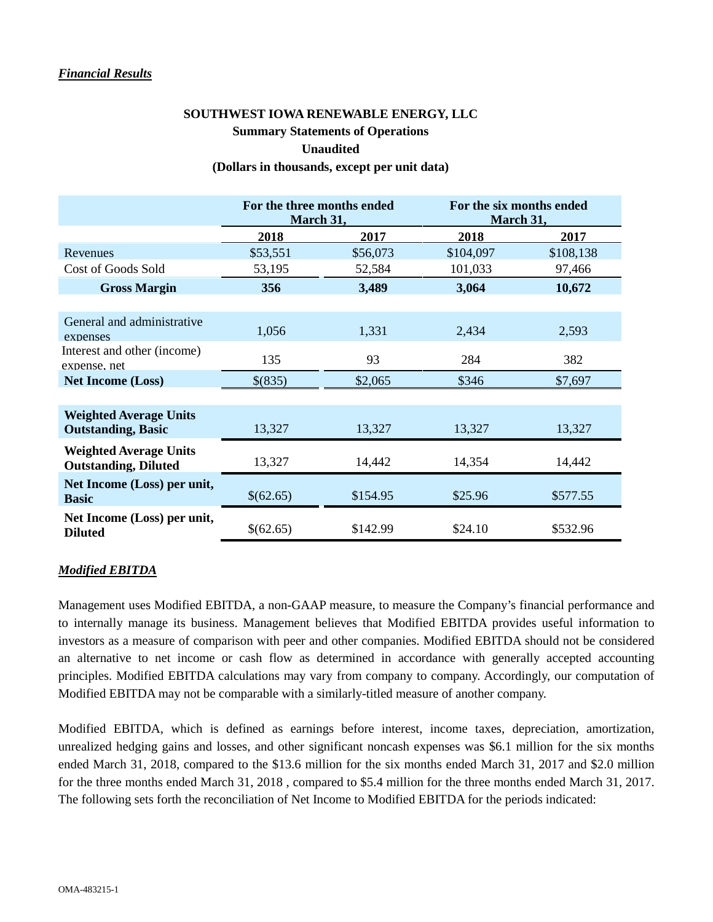#### *Financial Results*

## **SOUTHWEST IOWA RENEWABLE ENERGY, LLC Summary Statements of Operations Unaudited (Dollars in thousands, except per unit data)**

## **For the three months ended March 31, For the six months ended March 31, 2018 2017 2018 2017** Revenues \$53,551 \$56,073 \$104,097 \$108,138 Cost of Goods Sold 53,195 52,584 101,033 97,466 **Gross Margin 356 3,489 3,064 10,672** General and administrative expenses 1,056 1,331 2,434 2,593 Interest and other (income) expense, net 135 93 284 382 **Net Income (Loss)** \$(835) \$2,065 \$346 \$7,697 **Weighted Average Units Outstanding, Basic** 13,327 13,327 13,327 13,327 13,327 **Weighted Average Units Outstanding, Diluted** 13,327 14,442 14,354 14,442 **Net Income (Loss) per unit, Basic** \$(62.65) \$154.95 \$25.96 \$577.55 **Net Income (Loss) per unit, Diluted** \$142.99 \$24.10 \$532.96

### *Modified EBITDA*

Management uses Modified EBITDA, a non-GAAP measure, to measure the Company's financial performance and to internally manage its business. Management believes that Modified EBITDA provides useful information to investors as a measure of comparison with peer and other companies. Modified EBITDA should not be considered an alternative to net income or cash flow as determined in accordance with generally accepted accounting principles. Modified EBITDA calculations may vary from company to company. Accordingly, our computation of Modified EBITDA may not be comparable with a similarly-titled measure of another company.

Modified EBITDA, which is defined as earnings before interest, income taxes, depreciation, amortization, unrealized hedging gains and losses, and other significant noncash expenses was \$6.1 million for the six months ended March 31, 2018, compared to the \$13.6 million for the six months ended March 31, 2017 and \$2.0 million for the three months ended March 31, 2018 , compared to \$5.4 million for the three months ended March 31, 2017. The following sets forth the reconciliation of Net Income to Modified EBITDA for the periods indicated: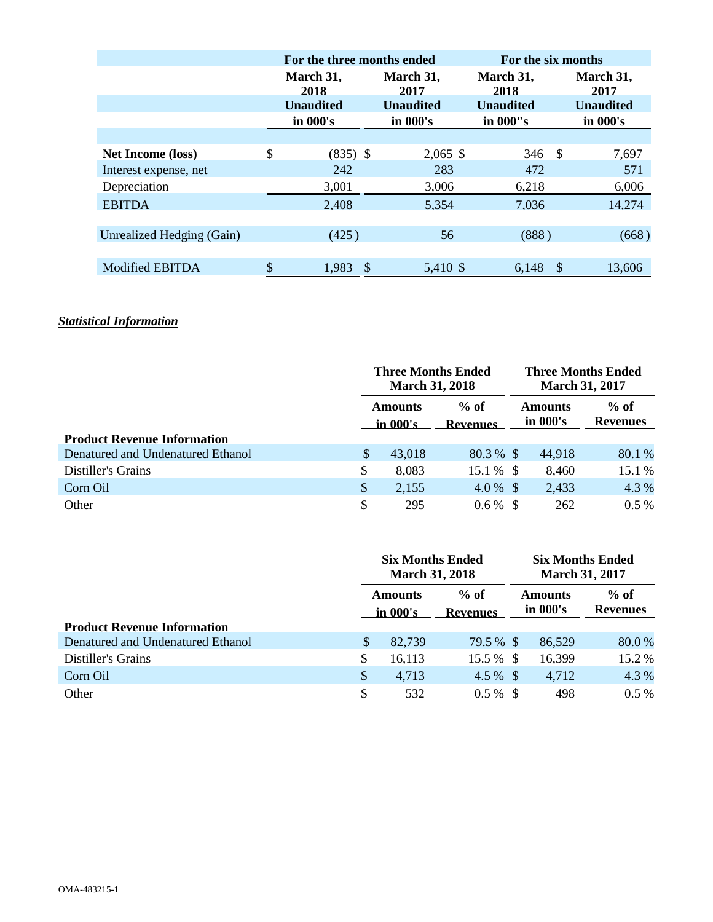|                           | For the three months ended           |  | For the six months |                   |                  |                   |  |  |
|---------------------------|--------------------------------------|--|--------------------|-------------------|------------------|-------------------|--|--|
|                           | March 31,<br>2018                    |  | March 31,<br>2017  | March 31,<br>2018 |                  | March 31,<br>2017 |  |  |
|                           | <b>Unaudited</b><br><b>Unaudited</b> |  | <b>Unaudited</b>   |                   | <b>Unaudited</b> |                   |  |  |
|                           | in 000's                             |  | in 000's           | in 000"s          |                  | in 000's          |  |  |
|                           |                                      |  |                    |                   |                  |                   |  |  |
| <b>Net Income (loss)</b>  | \$<br>$(835)$ \$                     |  | $2,065$ \$         | $346 \quad $$     |                  | 7,697             |  |  |
| Interest expense, net     | 242                                  |  | 283                | 472               |                  | 571               |  |  |
| Depreciation              | 3,001                                |  | 3,006              | 6,218             |                  | 6,006             |  |  |
| <b>EBITDA</b>             | 2.408                                |  | 5.354              | 7.036             |                  | 14.274            |  |  |
|                           |                                      |  |                    |                   |                  |                   |  |  |
| Unrealized Hedging (Gain) | (425)                                |  | 56                 | (888)             |                  | (668)             |  |  |
|                           |                                      |  |                    |                   |                  |                   |  |  |
| <b>Modified EBITDA</b>    | 1,983                                |  | 5,410 \$           | 6.148             | S                | 13,606            |  |  |

## *Statistical Information*

|                                    |                            | <b>Three Months Ended</b><br><b>March 31, 2018</b> |                           |  | <b>Three Months Ended</b><br><b>March 31, 2017</b> |                           |  |
|------------------------------------|----------------------------|----------------------------------------------------|---------------------------|--|----------------------------------------------------|---------------------------|--|
|                                    | <b>Amounts</b><br>in 000's |                                                    | $%$ of<br><b>Revenues</b> |  | <b>Amounts</b><br>in 000's                         | $%$ of<br><b>Revenues</b> |  |
| <b>Product Revenue Information</b> |                            |                                                    |                           |  |                                                    |                           |  |
| Denatured and Undenatured Ethanol  | \$                         | 43,018                                             | $80.3\%$ \$               |  | 44,918                                             | 80.1 %                    |  |
| Distiller's Grains                 | \$                         | 8,083                                              | 15.1 % \$                 |  | 8,460                                              | 15.1 %                    |  |
| Corn Oil                           | $\boldsymbol{\mathsf{S}}$  | 2,155                                              | $4.0\%$ \$                |  | 2,433                                              | 4.3 %                     |  |
| Other                              | $\mathcal{S}$              | 295                                                | $0.6\%$ \$                |  | 262                                                | $0.5\%$                   |  |

|                                    | <b>Six Months Ended</b><br><b>March 31, 2018</b> |        |                           | <b>Six Months Ended</b><br><b>March 31, 2017</b> |                                                         |         |
|------------------------------------|--------------------------------------------------|--------|---------------------------|--------------------------------------------------|---------------------------------------------------------|---------|
|                                    | <b>Amounts</b><br>in 000's                       |        | $%$ of<br><b>Revenues</b> |                                                  | $%$ of<br><b>Amounts</b><br>in 000's<br><b>Revenues</b> |         |
| <b>Product Revenue Information</b> |                                                  |        |                           |                                                  |                                                         |         |
| Denatured and Undenatured Ethanol  | \$                                               | 82,739 | 79.5 % \$                 |                                                  | 86,529                                                  | 80.0%   |
| Distiller's Grains                 | S.                                               | 16,113 | 15.5 % \$                 |                                                  | 16,399                                                  | 15.2 %  |
| Corn Oil                           | $\mathcal{S}$                                    | 4,713  | $4.5\%$ \$                |                                                  | 4,712                                                   | 4.3 %   |
| Other                              | \$                                               | 532    | $0.5\%$ \$                |                                                  | 498                                                     | $0.5\%$ |